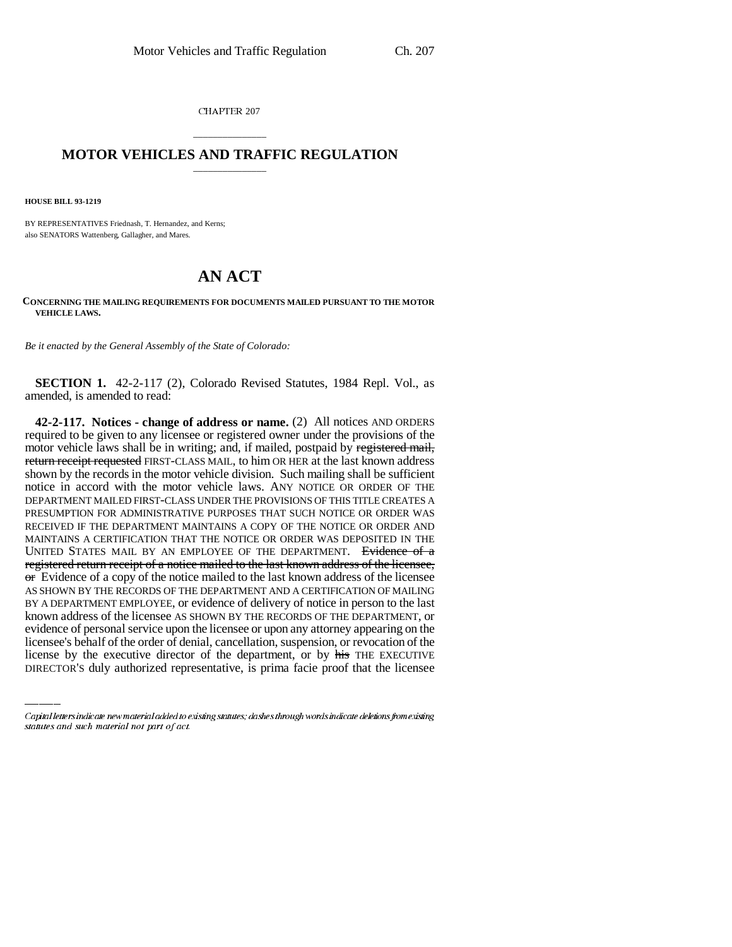CHAPTER 207

## \_\_\_\_\_\_\_\_\_\_\_\_\_\_\_ **MOTOR VEHICLES AND TRAFFIC REGULATION** \_\_\_\_\_\_\_\_\_\_\_\_\_\_\_

**HOUSE BILL 93-1219**

BY REPRESENTATIVES Friednash, T. Hernandez, and Kerns; also SENATORS Wattenberg, Gallagher, and Mares.

## **AN ACT**

## **CONCERNING THE MAILING REQUIREMENTS FOR DOCUMENTS MAILED PURSUANT TO THE MOTOR VEHICLE LAWS.**

*Be it enacted by the General Assembly of the State of Colorado:*

**SECTION 1.** 42-2-117 (2), Colorado Revised Statutes, 1984 Repl. Vol., as amended, is amended to read:

known address of the licensee AS SHOWN BY THE RECORDS OF THE DEPARTMENT, or **42-2-117. Notices - change of address or name.** (2) All notices AND ORDERS required to be given to any licensee or registered owner under the provisions of the motor vehicle laws shall be in writing; and, if mailed, postpaid by registered mail, return receipt requested FIRST-CLASS MAIL, to him OR HER at the last known address shown by the records in the motor vehicle division. Such mailing shall be sufficient notice in accord with the motor vehicle laws. ANY NOTICE OR ORDER OF THE DEPARTMENT MAILED FIRST-CLASS UNDER THE PROVISIONS OF THIS TITLE CREATES A PRESUMPTION FOR ADMINISTRATIVE PURPOSES THAT SUCH NOTICE OR ORDER WAS RECEIVED IF THE DEPARTMENT MAINTAINS A COPY OF THE NOTICE OR ORDER AND MAINTAINS A CERTIFICATION THAT THE NOTICE OR ORDER WAS DEPOSITED IN THE UNITED STATES MAIL BY AN EMPLOYEE OF THE DEPARTMENT. Evidence of a registered return receipt of a notice mailed to the last known address of the licensee,  $\sigma$  Evidence of a copy of the notice mailed to the last known address of the licensee AS SHOWN BY THE RECORDS OF THE DEPARTMENT AND A CERTIFICATION OF MAILING BY A DEPARTMENT EMPLOYEE, or evidence of delivery of notice in person to the last evidence of personal service upon the licensee or upon any attorney appearing on the licensee's behalf of the order of denial, cancellation, suspension, or revocation of the license by the executive director of the department, or by his THE EXECUTIVE DIRECTOR'S duly authorized representative, is prima facie proof that the licensee

Capital letters indicate new material added to existing statutes; dashes through words indicate deletions from existing statutes and such material not part of act.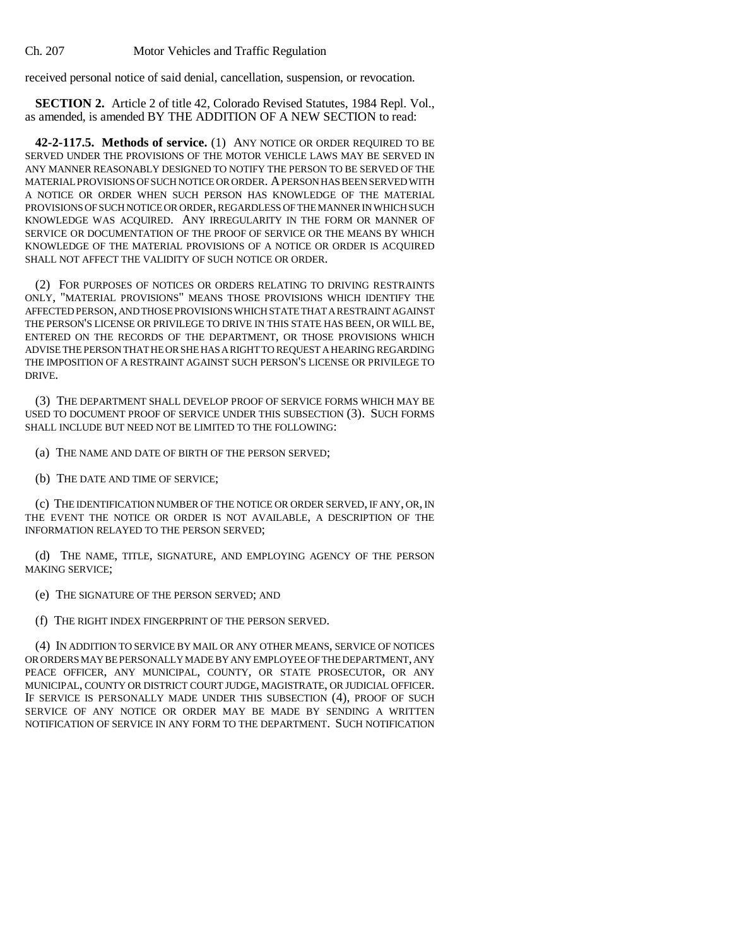received personal notice of said denial, cancellation, suspension, or revocation.

**SECTION 2.** Article 2 of title 42, Colorado Revised Statutes, 1984 Repl. Vol., as amended, is amended BY THE ADDITION OF A NEW SECTION to read:

**42-2-117.5. Methods of service.** (1) ANY NOTICE OR ORDER REQUIRED TO BE SERVED UNDER THE PROVISIONS OF THE MOTOR VEHICLE LAWS MAY BE SERVED IN ANY MANNER REASONABLY DESIGNED TO NOTIFY THE PERSON TO BE SERVED OF THE MATERIAL PROVISIONS OF SUCH NOTICE OR ORDER. A PERSON HAS BEEN SERVED WITH A NOTICE OR ORDER WHEN SUCH PERSON HAS KNOWLEDGE OF THE MATERIAL PROVISIONS OF SUCH NOTICE OR ORDER, REGARDLESS OF THE MANNER IN WHICH SUCH KNOWLEDGE WAS ACQUIRED. ANY IRREGULARITY IN THE FORM OR MANNER OF SERVICE OR DOCUMENTATION OF THE PROOF OF SERVICE OR THE MEANS BY WHICH KNOWLEDGE OF THE MATERIAL PROVISIONS OF A NOTICE OR ORDER IS ACQUIRED SHALL NOT AFFECT THE VALIDITY OF SUCH NOTICE OR ORDER.

(2) FOR PURPOSES OF NOTICES OR ORDERS RELATING TO DRIVING RESTRAINTS ONLY, "MATERIAL PROVISIONS" MEANS THOSE PROVISIONS WHICH IDENTIFY THE AFFECTED PERSON, AND THOSE PROVISIONS WHICH STATE THAT A RESTRAINT AGAINST THE PERSON'S LICENSE OR PRIVILEGE TO DRIVE IN THIS STATE HAS BEEN, OR WILL BE, ENTERED ON THE RECORDS OF THE DEPARTMENT, OR THOSE PROVISIONS WHICH ADVISE THE PERSON THAT HE OR SHE HAS A RIGHT TO REQUEST A HEARING REGARDING THE IMPOSITION OF A RESTRAINT AGAINST SUCH PERSON'S LICENSE OR PRIVILEGE TO DRIVE.

(3) THE DEPARTMENT SHALL DEVELOP PROOF OF SERVICE FORMS WHICH MAY BE USED TO DOCUMENT PROOF OF SERVICE UNDER THIS SUBSECTION (3). SUCH FORMS SHALL INCLUDE BUT NEED NOT BE LIMITED TO THE FOLLOWING:

(a) THE NAME AND DATE OF BIRTH OF THE PERSON SERVED;

(b) THE DATE AND TIME OF SERVICE;

(c) THE IDENTIFICATION NUMBER OF THE NOTICE OR ORDER SERVED, IF ANY, OR, IN THE EVENT THE NOTICE OR ORDER IS NOT AVAILABLE, A DESCRIPTION OF THE INFORMATION RELAYED TO THE PERSON SERVED;

(d) THE NAME, TITLE, SIGNATURE, AND EMPLOYING AGENCY OF THE PERSON MAKING SERVICE;

(e) THE SIGNATURE OF THE PERSON SERVED; AND

(f) THE RIGHT INDEX FINGERPRINT OF THE PERSON SERVED.

(4) IN ADDITION TO SERVICE BY MAIL OR ANY OTHER MEANS, SERVICE OF NOTICES OR ORDERS MAY BE PERSONALLY MADE BY ANY EMPLOYEE OF THE DEPARTMENT, ANY PEACE OFFICER, ANY MUNICIPAL, COUNTY, OR STATE PROSECUTOR, OR ANY MUNICIPAL, COUNTY OR DISTRICT COURT JUDGE, MAGISTRATE, OR JUDICIAL OFFICER. IF SERVICE IS PERSONALLY MADE UNDER THIS SUBSECTION (4), PROOF OF SUCH SERVICE OF ANY NOTICE OR ORDER MAY BE MADE BY SENDING A WRITTEN NOTIFICATION OF SERVICE IN ANY FORM TO THE DEPARTMENT. SUCH NOTIFICATION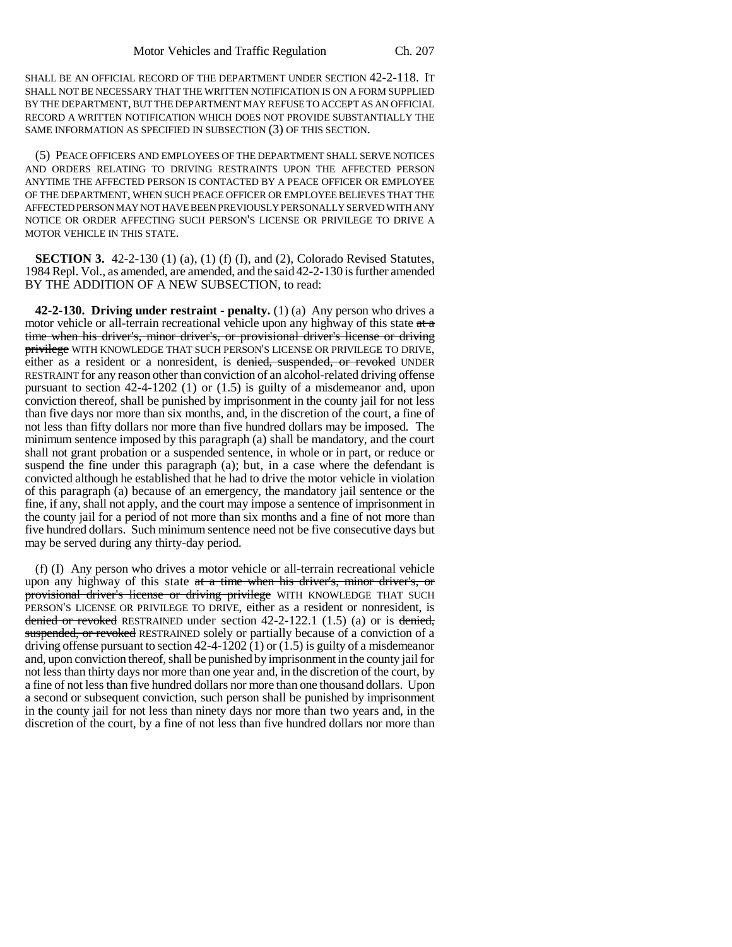SHALL BE AN OFFICIAL RECORD OF THE DEPARTMENT UNDER SECTION 42-2-118. IT SHALL NOT BE NECESSARY THAT THE WRITTEN NOTIFICATION IS ON A FORM SUPPLIED BY THE DEPARTMENT, BUT THE DEPARTMENT MAY REFUSE TO ACCEPT AS AN OFFICIAL RECORD A WRITTEN NOTIFICATION WHICH DOES NOT PROVIDE SUBSTANTIALLY THE SAME INFORMATION AS SPECIFIED IN SUBSECTION (3) OF THIS SECTION.

(5) PEACE OFFICERS AND EMPLOYEES OF THE DEPARTMENT SHALL SERVE NOTICES AND ORDERS RELATING TO DRIVING RESTRAINTS UPON THE AFFECTED PERSON ANYTIME THE AFFECTED PERSON IS CONTACTED BY A PEACE OFFICER OR EMPLOYEE OF THE DEPARTMENT, WHEN SUCH PEACE OFFICER OR EMPLOYEE BELIEVES THAT THE AFFECTED PERSON MAY NOT HAVE BEEN PREVIOUSLY PERSONALLY SERVED WITH ANY NOTICE OR ORDER AFFECTING SUCH PERSON'S LICENSE OR PRIVILEGE TO DRIVE A MOTOR VEHICLE IN THIS STATE.

**SECTION 3.** 42-2-130 (1) (a), (1) (f) (I), and (2), Colorado Revised Statutes, 1984 Repl. Vol., as amended, are amended, and the said 42-2-130 is further amended BY THE ADDITION OF A NEW SUBSECTION, to read:

**42-2-130. Driving under restraint - penalty.** (1) (a) Any person who drives a motor vehicle or all-terrain recreational vehicle upon any highway of this state  $a\bar{t}$ time when his driver's, minor driver's, or provisional driver's license or driving privilege WITH KNOWLEDGE THAT SUCH PERSON'S LICENSE OR PRIVILEGE TO DRIVE, either as a resident or a nonresident, is denied, suspended, or revoked UNDER RESTRAINT for any reason other than conviction of an alcohol-related driving offense pursuant to section 42-4-1202 (1) or (1.5) is guilty of a misdemeanor and, upon conviction thereof, shall be punished by imprisonment in the county jail for not less than five days nor more than six months, and, in the discretion of the court, a fine of not less than fifty dollars nor more than five hundred dollars may be imposed. The minimum sentence imposed by this paragraph (a) shall be mandatory, and the court shall not grant probation or a suspended sentence, in whole or in part, or reduce or suspend the fine under this paragraph (a); but, in a case where the defendant is convicted although he established that he had to drive the motor vehicle in violation of this paragraph (a) because of an emergency, the mandatory jail sentence or the fine, if any, shall not apply, and the court may impose a sentence of imprisonment in the county jail for a period of not more than six months and a fine of not more than five hundred dollars. Such minimum sentence need not be five consecutive days but may be served during any thirty-day period.

(f) (I) Any person who drives a motor vehicle or all-terrain recreational vehicle upon any highway of this state at a time when his driver's, minor driver's, or provisional driver's license or driving privilege WITH KNOWLEDGE THAT SUCH PERSON'S LICENSE OR PRIVILEGE TO DRIVE, either as a resident or nonresident, is denied or revoked RESTRAINED under section  $42-2-122.1$  (1.5) (a) or is denied, suspended, or revoked RESTRAINED solely or partially because of a conviction of a driving offense pursuant to section  $42-4-1202(1)$  or  $(1.5)$  is guilty of a misdemeanor and, upon conviction thereof, shall be punished by imprisonment in the county jail for not less than thirty days nor more than one year and, in the discretion of the court, by a fine of not less than five hundred dollars nor more than one thousand dollars. Upon a second or subsequent conviction, such person shall be punished by imprisonment in the county jail for not less than ninety days nor more than two years and, in the discretion of the court, by a fine of not less than five hundred dollars nor more than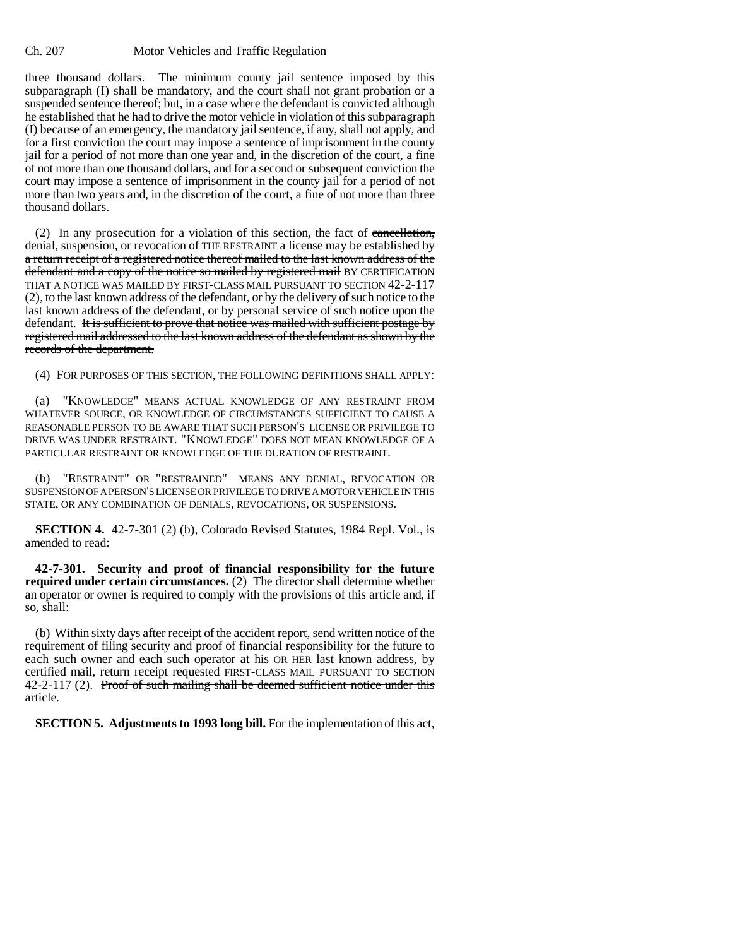three thousand dollars. The minimum county jail sentence imposed by this subparagraph (I) shall be mandatory, and the court shall not grant probation or a suspended sentence thereof; but, in a case where the defendant is convicted although he established that he had to drive the motor vehicle in violation of this subparagraph (I) because of an emergency, the mandatory jail sentence, if any, shall not apply, and for a first conviction the court may impose a sentence of imprisonment in the county jail for a period of not more than one year and, in the discretion of the court, a fine of not more than one thousand dollars, and for a second or subsequent conviction the court may impose a sentence of imprisonment in the county jail for a period of not more than two years and, in the discretion of the court, a fine of not more than three thousand dollars.

(2) In any prosecution for a violation of this section, the fact of  $\overline{\text{cancellation}}$ , denial, suspension, or revocation of THE RESTRAINT a license may be established by a return receipt of a registered notice thereof mailed to the last known address of the defendant and a copy of the notice so mailed by registered mail BY CERTIFICATION THAT A NOTICE WAS MAILED BY FIRST-CLASS MAIL PURSUANT TO SECTION 42-2-117 (2), to the last known address of the defendant, or by the delivery of such notice to the last known address of the defendant, or by personal service of such notice upon the defendant. It is sufficient to prove that notice was mailed with sufficient postage by registered mail addressed to the last known address of the defendant as shown by the records of the department.

(4) FOR PURPOSES OF THIS SECTION, THE FOLLOWING DEFINITIONS SHALL APPLY:

(a) "KNOWLEDGE" MEANS ACTUAL KNOWLEDGE OF ANY RESTRAINT FROM WHATEVER SOURCE, OR KNOWLEDGE OF CIRCUMSTANCES SUFFICIENT TO CAUSE A REASONABLE PERSON TO BE AWARE THAT SUCH PERSON'S LICENSE OR PRIVILEGE TO DRIVE WAS UNDER RESTRAINT. "KNOWLEDGE" DOES NOT MEAN KNOWLEDGE OF A PARTICULAR RESTRAINT OR KNOWLEDGE OF THE DURATION OF RESTRAINT.

(b) "RESTRAINT" OR "RESTRAINED" MEANS ANY DENIAL, REVOCATION OR SUSPENSION OF A PERSON'S LICENSE OR PRIVILEGE TO DRIVE A MOTOR VEHICLE IN THIS STATE, OR ANY COMBINATION OF DENIALS, REVOCATIONS, OR SUSPENSIONS.

**SECTION 4.** 42-7-301 (2) (b), Colorado Revised Statutes, 1984 Repl. Vol., is amended to read:

**42-7-301. Security and proof of financial responsibility for the future required under certain circumstances.** (2) The director shall determine whether an operator or owner is required to comply with the provisions of this article and, if so, shall:

(b) Within sixty days after receipt of the accident report, send written notice of the requirement of filing security and proof of financial responsibility for the future to each such owner and each such operator at his OR HER last known address, by certified mail, return receipt requested FIRST-CLASS MAIL PURSUANT TO SECTION 42-2-117 (2). Proof of such mailing shall be deemed sufficient notice under this article.

**SECTION 5. Adjustments to 1993 long bill.** For the implementation of this act,